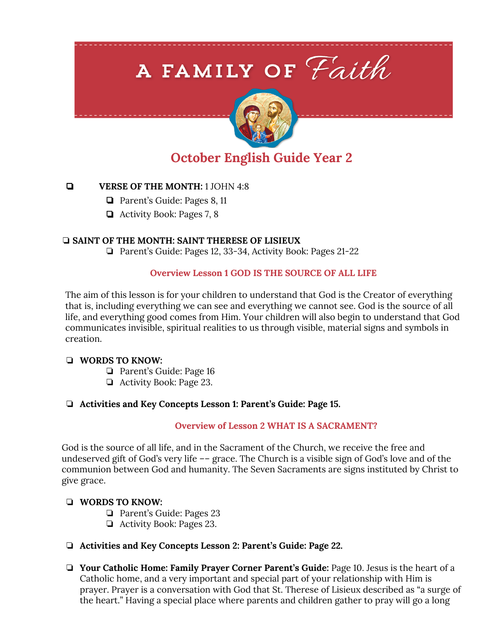# A FAMILY OF Faith



# **October English Guide Year 2**

# ❏ **VERSE OF THE MONTH:** 1 JOHN 4:8

- ❏ Parent's Guide: Pages 8, 11
- ❏ Activity Book: Pages 7, 8

# ❏ **SAINT OF THE MONTH: SAINT THERESE OF LISIEUX**

❏ Parent's Guide: Pages 12, 33-34, Activity Book: Pages 21-22

# **Overview Lesson 1 GOD IS THE SOURCE OF ALL LIFE**

The aim of this lesson is for your children to understand that God is the Creator of everything that is, including everything we can see and everything we cannot see. God is the source of all life, and everything good comes from Him. Your children will also begin to understand that God communicates invisible, spiritual realities to us through visible, material signs and symbols in creation.

# ❏ **WORDS TO KNOW:**

- ❏ Parent's Guide: Page 16
- ❏ Activity Book: Page 23.

# ❏ **Activities and Key Concepts Lesson 1: Parent's Guide: Page 15.**

# **Overview of Lesson 2 WHAT IS A SACRAMENT?**

God is the source of all life, and in the Sacrament of the Church, we receive the free and undeserved gift of God's very life –– grace. The Church is a visible sign of God's love and of the communion between God and humanity. The Seven Sacraments are signs instituted by Christ to give grace.

# ❏ **WORDS TO KNOW:**

- ❏ Parent's Guide: Pages 23
- ❏ Activity Book: Pages 23.
- ❏ **Activities and Key Concepts Lesson 2: Parent's Guide: Page 22.**
- ❏ **Your Catholic Home: Family Prayer Corner Parent's Guide:** Page 10. Jesus is the heart of a Catholic home, and a very important and special part of your relationship with Him is prayer. Prayer is a conversation with God that St. Therese of Lisieux described as "a surge of the heart." Having a special place where parents and children gather to pray will go a long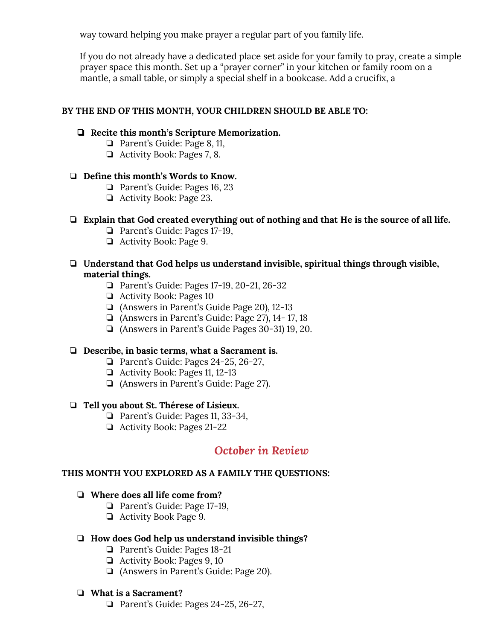way toward helping you make prayer a regular part of you family life.

If you do not already have a dedicated place set aside for your family to pray, create a simple prayer space this month. Set up a "prayer corner" in your kitchen or family room on a mantle, a small table, or simply a special shelf in a bookcase. Add a crucifix, a

# **BY THE END OF THIS MONTH, YOUR CHILDREN SHOULD BE ABLE TO:**

#### ❏ **Recite this month's Scripture Memorization.**

- ❏ Parent's Guide: Page 8, 11,
- ❏ Activity Book: Pages 7, 8.

#### ❏ **Define this month's Words to Know.**

- ❏ Parent's Guide: Pages 16, 23
- ❏ Activity Book: Page 23.

# ❏ **Explain that God created everything out of nothing and that He is the source of all life.**

- ❏ Parent's Guide: Pages 17-19,
- ❏ Activity Book: Page 9.

#### ❏ **Understand that God helps us understand invisible, spiritual things through visible, material things.**

- ❏ Parent's Guide: Pages 17-19, 20-21, 26-32
- ❏ Activity Book: Pages 10
- ❏ (Answers in Parent's Guide Page 20), 12-13
- ❏ (Answers in Parent's Guide: Page 27), 14- 17, 18
- ❏ (Answers in Parent's Guide Pages 30-31) 19, 20.

#### ❏ **Describe, in basic terms, what a Sacrament is.**

- ❏ Parent's Guide: Pages 24-25, 26-27,
- ❏ Activity Book: Pages 11, 12-13
- ❏ (Answers in Parent's Guide: Page 27).

#### ❏ **Tell you about St. Thérese of Lisieux.**

- ❏ Parent's Guide: Pages 11, 33-34,
- ❏ Activity Book: Pages 21-22

# *October in Review*

#### **THIS MONTH YOU EXPLORED AS A FAMILY THE QUESTIONS:**

#### ❏ **Where does all life come from?**

- ❏ Parent's Guide: Page 17-19,
- ❏ Activity Book Page 9.

#### ❏ **How does God help us understand invisible things?**

- ❏ Parent's Guide: Pages 18-21
- ❏ Activity Book: Pages 9, 10
- ❏ (Answers in Parent's Guide: Page 20).

#### ❏ **What is a Sacrament?**

❏ Parent's Guide: Pages 24-25, 26-27,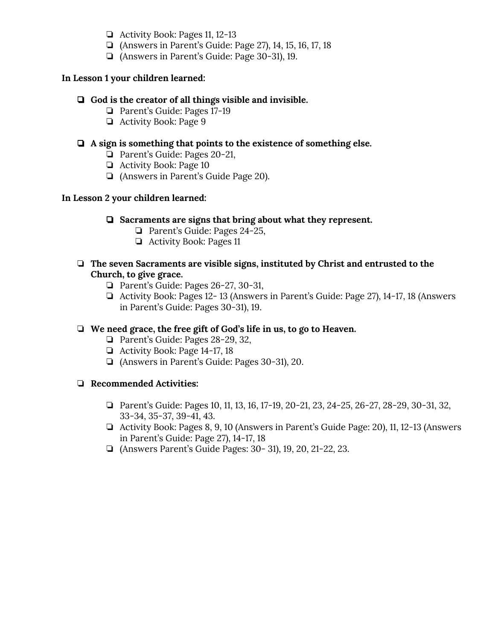- ❏ Activity Book: Pages 11, 12-13
- ❏ (Answers in Parent's Guide: Page 27), 14, 15, 16, 17, 18
- ❏ (Answers in Parent's Guide: Page 30-31), 19.

# **In Lesson 1 your children learned:**

# ❏ **God is the creator of all things visible and invisible.**

- ❏ Parent's Guide: Pages 17-19
- ❏ Activity Book: Page 9

# ❏ **A sign is something that points to the existence of something else.**

- ❏ Parent's Guide: Pages 20-21,
- ❏ Activity Book: Page 10
- ❏ (Answers in Parent's Guide Page 20).

# **In Lesson 2 your children learned:**

- ❏ **Sacraments are signs that bring about what they represent.**
	- ❏ Parent's Guide: Pages 24-25,
	- ❏ Activity Book: Pages 11

# ❏ **The seven Sacraments are visible signs, instituted by Christ and entrusted to the Church, to give grace.**

- ❏ Parent's Guide: Pages 26-27, 30-31,
- ❏ Activity Book: Pages 12- 13 (Answers in Parent's Guide: Page 27), 14-17, 18 (Answers in Parent's Guide: Pages 30-31), 19.

# ❏ **We need grace, the free gift of God's life in us, to go to Heaven.**

- ❏ Parent's Guide: Pages 28-29, 32,
- ❏ Activity Book: Page 14-17, 18
- ❏ (Answers in Parent's Guide: Pages 30-31), 20.

# ❏ **Recommended Activities:**

- ❏ Parent's Guide: Pages 10, 11, 13, 16, 17-19, 20-21, 23, 24-25, 26-27, 28-29, 30-31, 32, 33-34, 35-37, 39-41, 43.
- ❏ Activity Book: Pages 8, 9, 10 (Answers in Parent's Guide Page: 20), 11, 12-13 (Answers in Parent's Guide: Page 27), 14-17, 18
- ❏ (Answers Parent's Guide Pages: 30- 31), 19, 20, 21-22, 23.